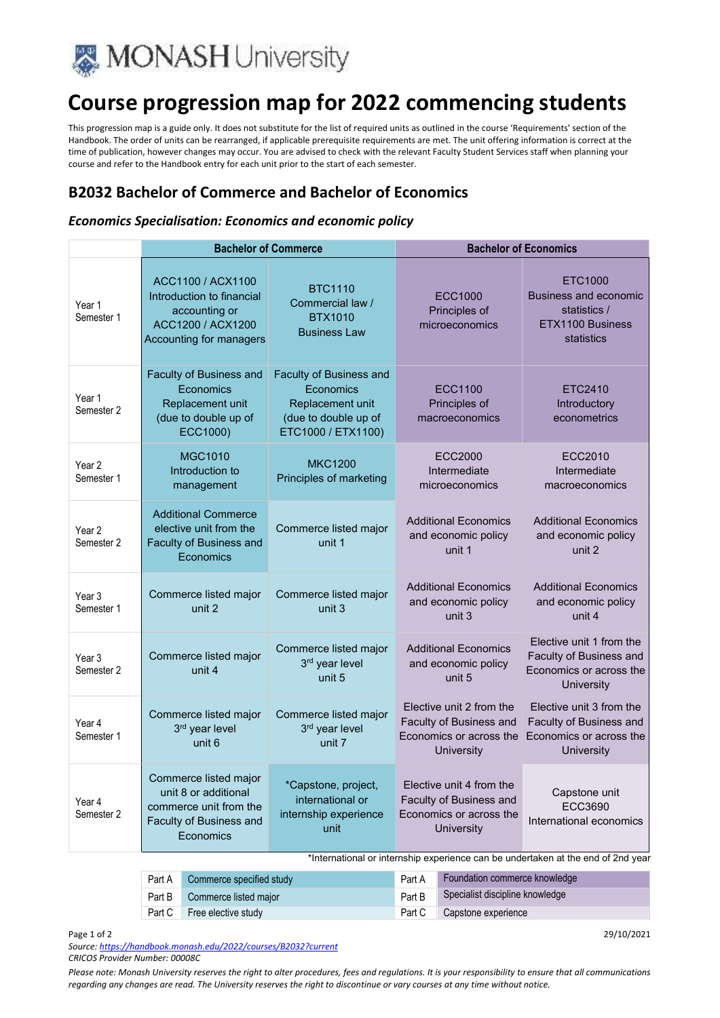

# **Course progression map for 2022 commencing students**

This progression map is a guide only. It does not substitute for the list of required units as outlined in the course 'Requirements' section of the Handbook. The order of units can be rearranged, if applicable prerequisite requirements are met. The unit offering information is correct at the time of publication, however changes may occur. You are advised to check with the relevant Faculty Student Services staff when planning your course and refer to the Handbook entry for each unit prior to the start of each semester.

## **B2032 Bachelor of Commerce and Bachelor of Economics**

### *Economics Specialisation: Economics and economic policy*

|                                 | <b>Bachelor of Commerce</b>                                                                                     |                                                                                                               | <b>Bachelor of Economics</b>                                                                 |                                                                                                     |  |
|---------------------------------|-----------------------------------------------------------------------------------------------------------------|---------------------------------------------------------------------------------------------------------------|----------------------------------------------------------------------------------------------|-----------------------------------------------------------------------------------------------------|--|
| Year 1<br>Semester 1            | ACC1100 / ACX1100<br>Introduction to financial<br>accounting or<br>ACC1200 / ACX1200<br>Accounting for managers | <b>BTC1110</b><br>Commercial law /<br><b>BTX1010</b><br><b>Business Law</b>                                   | ECC1000<br>Principles of<br>microeconomics                                                   | ETC1000<br><b>Business and economic</b><br>statistics /<br>ETX1100 Business<br>statistics           |  |
| Year 1<br>Semester 2            | Faculty of Business and<br>Economics<br>Replacement unit<br>(due to double up of<br>ECC1000)                    | <b>Faculty of Business and</b><br>Economics<br>Replacement unit<br>(due to double up of<br>ETC1000 / ETX1100) | ECC1100<br>Principles of<br>macroeconomics                                                   | ETC2410<br><b>Introductory</b><br>econometrics                                                      |  |
| Year <sub>2</sub><br>Semester 1 | MGC1010<br>Introduction to<br>management                                                                        | <b>MKC1200</b><br>Principles of marketing                                                                     | ECC2000<br>Intermediate<br>microeconomics                                                    | ECC2010<br>Intermediate<br>macroeconomics                                                           |  |
| Year 2<br>Semester 2            | <b>Additional Commerce</b><br>elective unit from the<br>Faculty of Business and<br>Economics                    | Commerce listed major<br>unit 1                                                                               | <b>Additional Economics</b><br>and economic policy<br>unit 1                                 | <b>Additional Economics</b><br>and economic policy<br>unit 2                                        |  |
| Year 3<br>Semester 1            | Commerce listed major<br>unit 2                                                                                 | Commerce listed major<br>unit 3                                                                               | <b>Additional Economics</b><br>and economic policy<br>unit 3                                 | <b>Additional Economics</b><br>and economic policy<br>unit 4                                        |  |
| Year 3<br>Semester 2            | Commerce listed major<br>unit 4                                                                                 | Commerce listed major<br>3rd year level<br>unit 5                                                             | <b>Additional Economics</b><br>and economic policy<br>unit 5                                 | Elective unit 1 from the<br><b>Faculty of Business and</b><br>Economics or across the<br>University |  |
| Year 4<br>Semester 1            | Commerce listed major<br>3rd year level<br>unit 6                                                               | Commerce listed major<br>3rd year level<br>unit 7                                                             | Elective unit 2 from the<br>Faculty of Business and<br>Economics or across the<br>University | Elective unit 3 from the<br>Faculty of Business and<br>Economics or across the<br>University        |  |
| Year 4<br>Semester 2            | Commerce listed major<br>unit 8 or additional<br>commerce unit from the<br>Faculty of Business and<br>Economics | *Capstone, project,<br>international or<br>internship experience<br>unit                                      | Elective unit 4 from the<br>Faculty of Business and<br>Economics or across the<br>University | Capstone unit<br>ECC3690<br>International economics                                                 |  |

\*International or internship experience can be undertaken at the end of 2nd year

|        | Part A Commerce specified study | Part A | Foundation commerce knowledge   |
|--------|---------------------------------|--------|---------------------------------|
| Part B | Commerce listed major           | Part B | Specialist discipline knowledge |
| Part C | Free elective study             | Part C | Capstone experience             |

#### Page 1 of 2 29/10/2021

*Source: https://handbook.monash.edu/2022/courses/B2032?current CRICOS Provider Number: 00008C* 

*Please note: Monash University reserves the right to alter procedures, fees and regulations. It is your responsibility to ensure that all communications regarding any changes are read. The University reserves the right to discontinue or vary courses at any time without notice.*